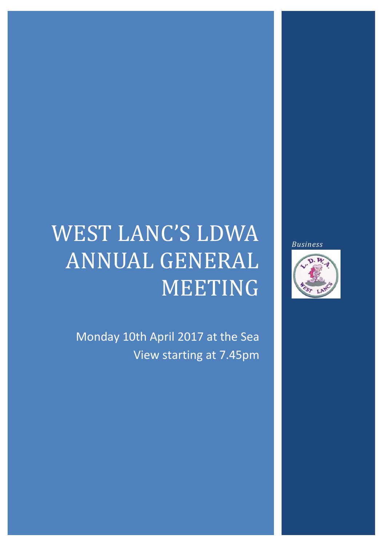# WEST LANC'S LDWA ANNUAL GENERAL MEETING

Monday 10th April 2017 at the Sea View starting at 7.45pm *Business*

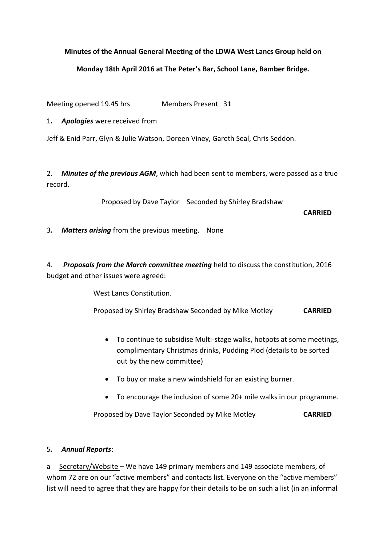#### **Minutes of the Annual General Meeting of the LDWA West Lancs Group held on**

#### **Monday 18th April 2016 at The Peter's Bar, School Lane, Bamber Bridge.**

Meeting opened 19.45 hrs Members Present 31

1*. Apologies* were received from

Jeff & Enid Parr, Glyn & Julie Watson, Doreen Viney, Gareth Seal, Chris Seddon.

2. *Minutes of the previous AGM*, which had been sent to members, were passed as a true record.

Proposed by Dave Taylor Seconded by Shirley Bradshaw

**CARRIED**

3*. Matters arising* from the previous meeting. None

4. *Proposals from the March committee meeting* held to discuss the constitution, 2016 budget and other issues were agreed:

West Lancs Constitution.

Proposed by Shirley Bradshaw Seconded by Mike Motley **CARRIED**

- To continue to subsidise Multi-stage walks, hotpots at some meetings, complimentary Christmas drinks, Pudding Plod (details to be sorted out by the new committee)
- To buy or make a new windshield for an existing burner.
- To encourage the inclusion of some 20+ mile walks in our programme.

Proposed by Dave Taylor Seconded by Mike Motley **CARRIED**

#### 5*. Annual Reports*:

a Secretary/Website – We have 149 primary members and 149 associate members, of whom 72 are on our "active members" and contacts list. Everyone on the "active members" list will need to agree that they are happy for their details to be on such a list (in an informal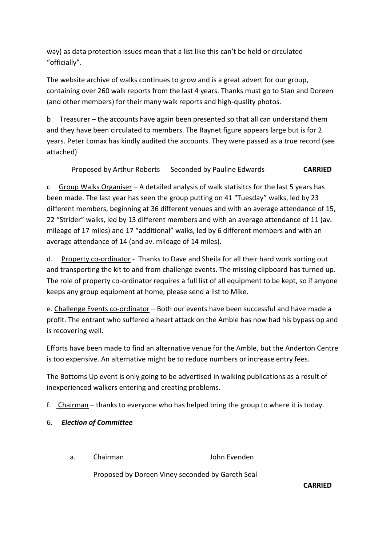way) as data protection issues mean that a list like this can't be held or circulated "officially".

The website archive of walks continues to grow and is a great advert for our group, containing over 260 walk reports from the last 4 years. Thanks must go to Stan and Doreen (and other members) for their many walk reports and high-quality photos.

b Treasurer – the accounts have again been presented so that all can understand them and they have been circulated to members. The Raynet figure appears large but is for 2 years. Peter Lomax has kindly audited the accounts. They were passed as a true record (see attached)

Proposed by Arthur Roberts Seconded by Pauline Edwards **CARRIED**

c Group Walks Organiser – A detailed analysis of walk statisitcs for the last 5 years has been made. The last year has seen the group putting on 41 "Tuesday" walks, led by 23 different members, beginning at 36 different venues and with an average attendance of 15, 22 "Strider" walks, led by 13 different members and with an average attendance of 11 (av. mileage of 17 miles) and 17 "additional" walks, led by 6 different members and with an average attendance of 14 (and av. mileage of 14 miles).

d. Property co-ordinator - Thanks to Dave and Sheila for all their hard work sorting out and transporting the kit to and from challenge events. The missing clipboard has turned up. The role of property co-ordinator requires a full list of all equipment to be kept, so if anyone keeps any group equipment at home, please send a list to Mike.

e. Challenge Events co-ordinator – Both our events have been successful and have made a profit. The entrant who suffered a heart attack on the Amble has now had his bypass op and is recovering well.

Efforts have been made to find an alternative venue for the Amble, but the Anderton Centre is too expensive. An alternative might be to reduce numbers or increase entry fees.

The Bottoms Up event is only going to be advertised in walking publications as a result of inexperienced walkers entering and creating problems.

f. Chairman – thanks to everyone who has helped bring the group to where it is today.

#### 6*. Election of Committee*

a. Chairman John Evenden

Proposed by Doreen Viney seconded by Gareth Seal

**CARRIED**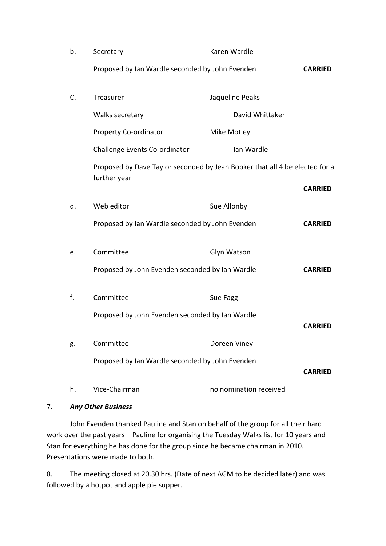| b. | Secretary                                                                   | Karen Wardle           |                |
|----|-----------------------------------------------------------------------------|------------------------|----------------|
|    | Proposed by Ian Wardle seconded by John Evenden                             |                        | <b>CARRIED</b> |
| C. | Treasurer                                                                   | Jaqueline Peaks        |                |
|    | Walks secretary                                                             | David Whittaker        |                |
|    | <b>Property Co-ordinator</b>                                                | Mike Motley            |                |
|    | Challenge Events Co-ordinator                                               | Ian Wardle             |                |
|    | Proposed by Dave Taylor seconded by Jean Bobker that all 4 be elected for a |                        |                |
|    | further year                                                                |                        | <b>CARRIED</b> |
| d. | Web editor                                                                  | Sue Allonby            |                |
|    | Proposed by Ian Wardle seconded by John Evenden                             |                        | <b>CARRIED</b> |
|    |                                                                             |                        |                |
| e. | Committee                                                                   | Glyn Watson            |                |
|    | Proposed by John Evenden seconded by Ian Wardle                             |                        | <b>CARRIED</b> |
| f. | Committee                                                                   | Sue Fagg               |                |
|    |                                                                             |                        |                |
|    | Proposed by John Evenden seconded by Ian Wardle                             |                        | <b>CARRIED</b> |
| g. | Committee                                                                   | Doreen Viney           |                |
|    | Proposed by Ian Wardle seconded by John Evenden                             |                        |                |
|    |                                                                             |                        | <b>CARRIED</b> |
| h. | Vice-Chairman                                                               | no nomination received |                |

#### 7. *Any Other Business*

John Evenden thanked Pauline and Stan on behalf of the group for all their hard work over the past years – Pauline for organising the Tuesday Walks list for 10 years and Stan for everything he has done for the group since he became chairman in 2010. Presentations were made to both.

8. The meeting closed at 20.30 hrs. (Date of next AGM to be decided later) and was followed by a hotpot and apple pie supper.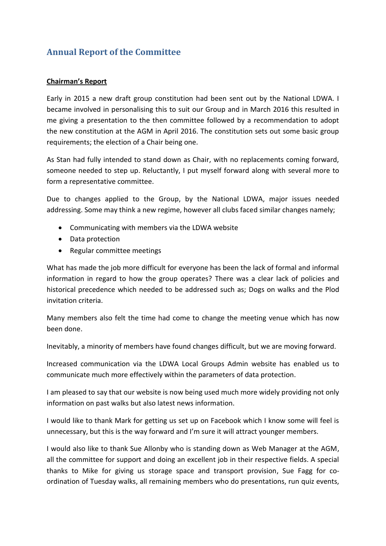# **Annual Report of the Committee**

#### **Chairman's Report**

Early in 2015 a new draft group constitution had been sent out by the National LDWA. I became involved in personalising this to suit our Group and in March 2016 this resulted in me giving a presentation to the then committee followed by a recommendation to adopt the new constitution at the AGM in April 2016. The constitution sets out some basic group requirements; the election of a Chair being one.

As Stan had fully intended to stand down as Chair, with no replacements coming forward, someone needed to step up. Reluctantly, I put myself forward along with several more to form a representative committee.

Due to changes applied to the Group, by the National LDWA, major issues needed addressing. Some may think a new regime, however all clubs faced similar changes namely;

- Communicating with members via the LDWA website
- Data protection
- Regular committee meetings

What has made the job more difficult for everyone has been the lack of formal and informal information in regard to how the group operates? There was a clear lack of policies and historical precedence which needed to be addressed such as; Dogs on walks and the Plod invitation criteria.

Many members also felt the time had come to change the meeting venue which has now been done.

Inevitably, a minority of members have found changes difficult, but we are moving forward.

Increased communication via the LDWA Local Groups Admin website has enabled us to communicate much more effectively within the parameters of data protection.

I am pleased to say that our website is now being used much more widely providing not only information on past walks but also latest news information.

I would like to thank Mark for getting us set up on Facebook which I know some will feel is unnecessary, but this is the way forward and I'm sure it will attract younger members.

I would also like to thank Sue Allonby who is standing down as Web Manager at the AGM, all the committee for support and doing an excellent job in their respective fields. A special thanks to Mike for giving us storage space and transport provision, Sue Fagg for coordination of Tuesday walks, all remaining members who do presentations, run quiz events,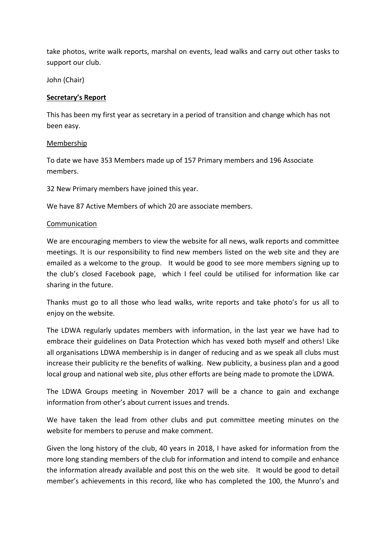take photos, write walk reports, marshal on events, lead walks and carry out other tasks to support our club.

John (Chair)

#### **Secretary's Report**

This has been my first year as secretary in a period of transition and change which has not been easy.

#### Membership

To date we have 353 Members made up of 157 Primary members and 196 Associate members.

32 New Primary members have joined this year.

We have 87 Active Members of which 20 are associate members.

#### Communication

We are encouraging members to view the website for all news, walk reports and committee meetings. It is our responsibility to find new members listed on the web site and they are emailed as a welcome to the group. It would be good to see more members signing up to the club's closed Facebook page, which I feel could be utilised for information like car sharing in the future.

Thanks must go to all those who lead walks, write reports and take photo's for us all to enjoy on the website.

The LDWA regularly updates members with information, in the last year we have had to embrace their guidelines on Data Protection which has vexed both myself and others! Like all organisations LDWA membership is in danger of reducing and as we speak all clubs must increase their publicity re the benefits of walking. New publicity, a business plan and a good local group and national web site, plus other efforts are being made to promote the LDWA.

The LDWA Groups meeting in November 2017 will be a chance to gain and exchange information from other's about current issues and trends.

We have taken the lead from other clubs and put committee meeting minutes on the website for members to peruse and make comment.

Given the long history of the club, 40 years in 2018, I have asked for information from the more long standing members of the club for information and intend to compile and enhance the information already available and post this on the web site. It would be good to detail member's achievements in this record, like who has completed the 100, the Munro's and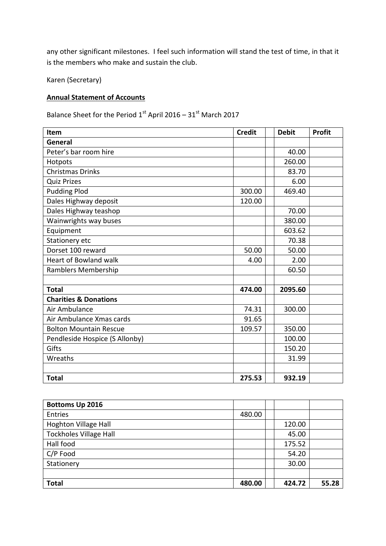any other significant milestones. I feel such information will stand the test of time, in that it is the members who make and sustain the club.

Karen (Secretary)

## **Annual Statement of Accounts**

Balance Sheet for the Period  $1^{st}$  April 2016 – 31st March 2017

| Item                             | <b>Credit</b> | <b>Debit</b> | <b>Profit</b> |
|----------------------------------|---------------|--------------|---------------|
| General                          |               |              |               |
| Peter's bar room hire            |               | 40.00        |               |
| Hotpots                          |               | 260.00       |               |
| <b>Christmas Drinks</b>          |               | 83.70        |               |
| <b>Quiz Prizes</b>               |               | 6.00         |               |
| <b>Pudding Plod</b>              | 300.00        | 469.40       |               |
| Dales Highway deposit            | 120.00        |              |               |
| Dales Highway teashop            |               | 70.00        |               |
| Wainwrights way buses            |               | 380.00       |               |
| Equipment                        |               | 603.62       |               |
| Stationery etc                   |               | 70.38        |               |
| Dorset 100 reward                | 50.00         | 50.00        |               |
| Heart of Bowland walk            | 4.00          | 2.00         |               |
| Ramblers Membership              |               | 60.50        |               |
|                                  |               |              |               |
| <b>Total</b>                     | 474.00        | 2095.60      |               |
| <b>Charities &amp; Donations</b> |               |              |               |
| Air Ambulance                    | 74.31         | 300.00       |               |
| Air Ambulance Xmas cards         | 91.65         |              |               |
| <b>Bolton Mountain Rescue</b>    | 109.57        | 350.00       |               |
| Pendleside Hospice (S Allonby)   |               | 100.00       |               |
| Gifts                            |               | 150.20       |               |
| Wreaths                          |               | 31.99        |               |
|                                  |               |              |               |
| <b>Total</b>                     | 275.53        | 932.19       |               |

| <b>Bottoms Up 2016</b>        |        |        |       |
|-------------------------------|--------|--------|-------|
| Entries                       | 480.00 |        |       |
| Hoghton Village Hall          |        | 120.00 |       |
| <b>Tockholes Village Hall</b> |        | 45.00  |       |
| Hall food                     |        | 175.52 |       |
| C/P Food                      |        | 54.20  |       |
| Stationery                    |        | 30.00  |       |
|                               |        |        |       |
| <b>Total</b>                  | 480.00 | 424.72 | 55.28 |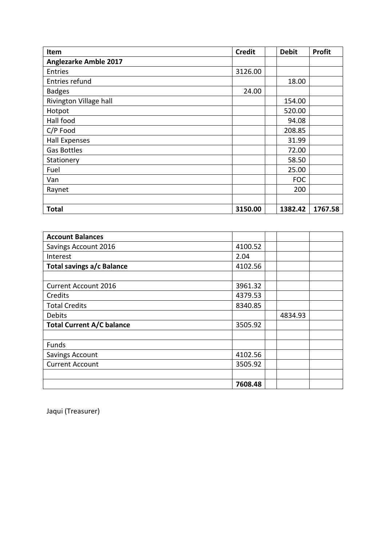| Item                         | <b>Credit</b> |  | <b>Debit</b> | Profit  |  |
|------------------------------|---------------|--|--------------|---------|--|
| <b>Anglezarke Amble 2017</b> |               |  |              |         |  |
| <b>Entries</b>               | 3126.00       |  |              |         |  |
| Entries refund               |               |  | 18.00        |         |  |
| <b>Badges</b>                | 24.00         |  |              |         |  |
| Rivington Village hall       |               |  | 154.00       |         |  |
| Hotpot                       |               |  | 520.00       |         |  |
| Hall food                    |               |  | 94.08        |         |  |
| C/P Food                     |               |  | 208.85       |         |  |
| <b>Hall Expenses</b>         |               |  | 31.99        |         |  |
| <b>Gas Bottles</b>           |               |  | 72.00        |         |  |
| Stationery                   |               |  | 58.50        |         |  |
| Fuel                         |               |  | 25.00        |         |  |
| Van                          |               |  | <b>FOC</b>   |         |  |
| Raynet                       |               |  | 200          |         |  |
|                              |               |  |              |         |  |
| <b>Total</b>                 | 3150.00       |  | 1382.42      | 1767.58 |  |

| <b>Account Balances</b>          |         |         |  |
|----------------------------------|---------|---------|--|
| Savings Account 2016             | 4100.52 |         |  |
| Interest                         | 2.04    |         |  |
| Total savings a/c Balance        | 4102.56 |         |  |
|                                  |         |         |  |
| <b>Current Account 2016</b>      | 3961.32 |         |  |
| Credits                          | 4379.53 |         |  |
| <b>Total Credits</b>             | 8340.85 |         |  |
| Debits                           |         | 4834.93 |  |
| <b>Total Current A/C balance</b> | 3505.92 |         |  |
|                                  |         |         |  |
| Funds                            |         |         |  |
| <b>Savings Account</b>           | 4102.56 |         |  |
| <b>Current Account</b>           | 3505.92 |         |  |
|                                  |         |         |  |
|                                  | 7608.48 |         |  |

Jaqui (Treasurer)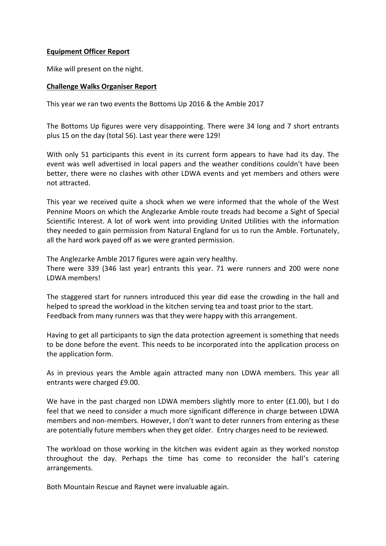#### **Equipment Officer Report**

Mike will present on the night.

#### **Challenge Walks Organiser Report**

This year we ran two events the Bottoms Up 2016 & the Amble 2017

The Bottoms Up figures were very disappointing. There were 34 long and 7 short entrants plus 15 on the day (total 56). Last year there were 129!

With only 51 participants this event in its current form appears to have had its day. The event was well advertised in local papers and the weather conditions couldn't have been better, there were no clashes with other LDWA events and yet members and others were not attracted.

This year we received quite a shock when we were informed that the whole of the West Pennine Moors on which the Anglezarke Amble route treads had become a Sight of Special Scientific Interest. A lot of work went into providing United Utilities with the information they needed to gain permission from Natural England for us to run the Amble. Fortunately, all the hard work payed off as we were granted permission.

The Anglezarke Amble 2017 figures were again very healthy. There were 339 (346 last year) entrants this year. 71 were runners and 200 were none LDWA members!

The staggered start for runners introduced this year did ease the crowding in the hall and helped to spread the workload in the kitchen serving tea and toast prior to the start. Feedback from many runners was that they were happy with this arrangement.

Having to get all participants to sign the data protection agreement is something that needs to be done before the event. This needs to be incorporated into the application process on the application form.

As in previous years the Amble again attracted many non LDWA members. This year all entrants were charged £9.00.

We have in the past charged non LDWA members slightly more to enter (£1.00), but I do feel that we need to consider a much more significant difference in charge between LDWA members and non-members. However, I don't want to deter runners from entering as these are potentially future members when they get older. Entry charges need to be reviewed.

The workload on those working in the kitchen was evident again as they worked nonstop throughout the day. Perhaps the time has come to reconsider the hall's catering arrangements.

Both Mountain Rescue and Raynet were invaluable again.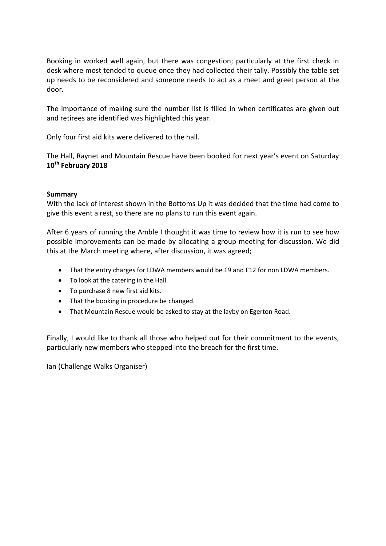Booking in worked well again, but there was congestion; particularly at the first check in desk where most tended to queue once they had collected their tally. Possibly the table set up needs to be reconsidered and someone needs to act as a meet and greet person at the door.

The importance of making sure the number list is filled in when certificates are given out and retirees are identified was highlighted this year.

Only four first aid kits were delivered to the hall.

The Hall, Raynet and Mountain Rescue have been booked for next year's event on Saturday **10th February 2018**

#### **Summary**

With the lack of interest shown in the Bottoms Up it was decided that the time had come to give this event a rest, so there are no plans to run this event again.

After 6 years of running the Amble I thought it was time to review how it is run to see how possible improvements can be made by allocating a group meeting for discussion. We did this at the March meeting where, after discussion, it was agreed;

- That the entry charges for LDWA members would be £9 and £12 for non LDWA members.
- To look at the catering in the Hall.
- To purchase 8 new first aid kits.
- That the booking in procedure be changed.
- That Mountain Rescue would be asked to stay at the layby on Egerton Road.

Finally, I would like to thank all those who helped out for their commitment to the events, particularly new members who stepped into the breach for the first time.

Ian (Challenge Walks Organiser)